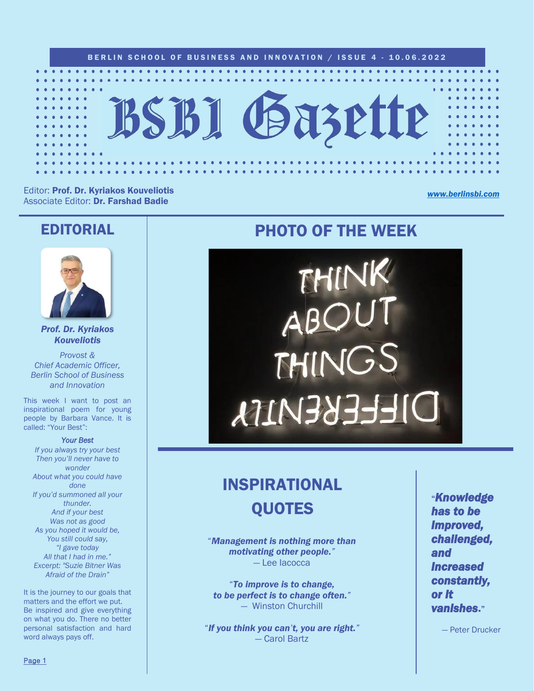

Editor: Prof. Dr. Kyriakos Kouveliotis Associate Editor: Dr. Farshad Badie

*[www.berlinsbi.com](http://www.berlinsbi.com/)*

### EDITORIAL



*Prof. Dr. Kyriakos Kouveliotis*

*Provost & Chief Academic Officer, Berlin School of Business and Innovation*

This week I want to post an inspirational poem for young people by Barbara Vance. It is called: "Your Best":

*Your Best* 

*If you always try your best Then you'll never have to wonder About what you could have done If you'd summoned all your thunder. And if your best Was not as good As you hoped it would be, You still could say, "I gave today All that I had in me." Excerpt: "Suzie Bitner Was Afraid of the Drain"*

It is the journey to our goals that matters and the effort we put. Be inspired and give everything on what you do. There no better personal satisfaction and hard word always pays off.

## PHOTO OF THE WEEK



# INSPIRATIONAL **OUOTES**

"*Management is nothing more than motivating other people."* — Lee Iacocca

"*To improve is to change, to be perfect is to change often."* — Winston Churchill

"*If you think you can't, you are right."* — Carol Bartz

"*Knowledge has to be improved, challenged, and increased constantly, or it vanishes*."

— Peter Drucker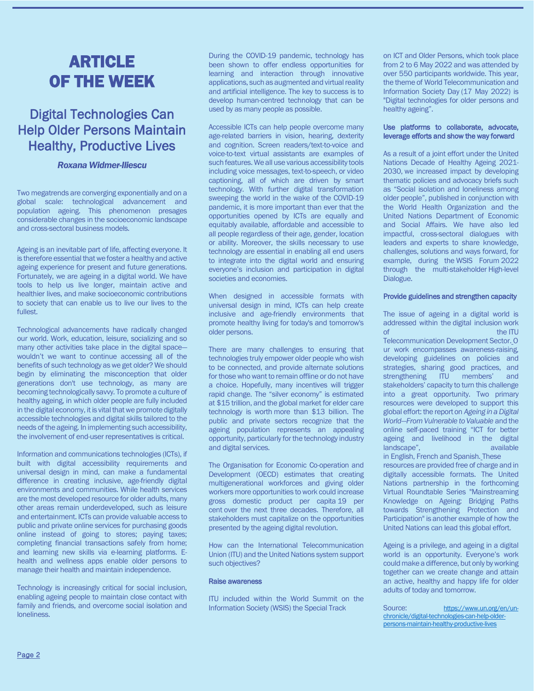## ARTICLE OF THE WEEK

### Digital Technologies Can Help Older Persons Maintain Healthy, Productive Lives

### *Roxana Widmer-Iliescu*

Two megatrends are converging exponentially and on a global scale: technological advancement and population ageing. This phenomenon presages considerable changes in the socioeconomic landscape and cross-sectoral business models*.*

Ageing is an inevitable part of life, affecting everyone. It is therefore essential that we foster a healthy and active ageing experience for present and future generations. Fortunately, we are ageing in a digital world. We have tools to help us live longer, maintain active and healthier lives, and make socioeconomic contributions to society that can enable us to live our lives to the fullest.

Technological advancements have radically changed our world. Work, education, leisure, socializing and so many other activities take place in the digital space wouldn't we want to continue accessing all of the benefits of such technology as we get older? We should begin by eliminating the misconception that older generations don't use technology, as many are becoming technologically savvy. To promote a culture of healthy ageing, in which older people are fully included in the digital economy, it is vital that we promote digitally accessible technologies and digital skills tailored to the needs of the ageing. In implementing such accessibility, the involvement of end-user representatives is critical.

Information and communications technologies (ICTs), if built with digital accessibility requirements and universal design in mind, can make a fundamental difference in creating inclusive, age-friendly digital environments and communities. While health services are the most developed resource for older adults, many other areas remain underdeveloped, such as leisure and entertainment. ICTs can provide valuable access to public and private online services for purchasing goods online instead of going to stores; paying taxes; completing financial transactions safely from home; and learning new skills via e-learning platforms. Ehealth and wellness apps enable older persons to manage their health and maintain independence.

Technology is increasingly critical for social inclusion, enabling ageing people to maintain close contact with family and friends, and overcome social isolation and loneliness.

During the COVID-19 pandemic, technology has been shown to offer endless opportunities for learning and interaction through innovative applications, such as augmented and virtual reality and artificial intelligence. The key to success is to develop human-centred technology that can be used by as many people as possible.

Accessible ICTs can help people overcome many age-related barriers in vision, hearing, dexterity and cognition. Screen readers/text-to-voice and voice-to-text virtual assistants are examples of such features. We all use various accessibility tools including voice messages, text-to-speech, or video captioning, all of which are driven by smart technology. With further digital transformation sweeping the world in the wake of the COVID-19 pandemic, it is more important than ever that the opportunities opened by ICTs are equally and equitably available, affordable and accessible to all people regardless of their age, gender, location or ability. Moreover, the skills necessary to use technology are essential in enabling all end users to integrate into the digital world and ensuring everyone's inclusion and participation in digital societies and economies.

When designed in accessible formats with universal design in mind, ICTs can help create inclusive and age-friendly environments that promote healthy living for today's and tomorrow's older persons.

There are many challenges to ensuring that technologies truly empower older people who wish to be connected, and provide alternate solutions for those who want to remain offline or do not have a choice. Hopefully, many incentives will trigger rapid change. The "silver economy" is estimated at [\\$15 trillion,](https://globalcoalitiononaging.com/2018/05/29/the-rise-of-the-silver-economy/) and the global market for elder care technology is worth [more than \\$13 billion.](https://www.globenewswire.com/news-release/2018/10/11/1619787/0/en/Global-Market-for-Elder-Care-Technology-to-Reach-13-6-Billion-by-2022.html) The public and private sectors recognize that the ageing population represents an appealing opportunity, particularly for the technology industry and digital services.

The Organisation for Economic Co-operation and Development (OECD) estimates that creating multigenerational workforces and giving older workers more opportunities to work could increase gross domestic product per capita 19 [per](https://www.oecd.org/newsroom/employers-must-remove-barriers-to-work-for-all-generations.htm)  [cent](https://www.oecd.org/newsroom/employers-must-remove-barriers-to-work-for-all-generations.htm) over the next three decades. Therefore, all stakeholders must capitalize on the opportunities presented by the ageing digital revolution.

How can the International Telecommunication Union (ITU) and the United Nations system support such objectives?

#### Raise awareness

ITU included within the World Summit on the Information Society (WSIS) the Special Track

on ICT and Older Persons, which took place from 2 to 6 May 2022 and was attended by over 550 participants worldwide. This year, the theme of [World Telecommunication and](https://www.un.org/en/observances/telecommunication-day)  [Information Society Day](https://www.un.org/en/observances/telecommunication-day) (17 May 2022) is "Digital technologies for older persons and healthy ageing".

#### Use platforms to collaborate, advocate, leverage efforts and show the way forward

As a result of a joint effort under the [United](https://www.who.int/initiatives/decade-of-healthy-ageing)  [Nations Decade of Healthy Ageing 2021-](https://www.who.int/initiatives/decade-of-healthy-ageing) [2030,](https://www.who.int/initiatives/decade-of-healthy-ageing) we increased impact by developing thematic policies and advocacy briefs such as "[Social isolation and loneliness among](https://www.who.int/publications/i/item/9789240030749)  [older people](https://www.who.int/publications/i/item/9789240030749)", published in conjunction with the World Health Organization and the United Nations Department of Economic and Social Affairs. We have also led impactful, cross-sectoral dialogues with leaders and experts to share knowledge, challenges, solutions and ways forward, for example, during the [WSIS Forum](https://www.itu.int/net4/wsis/forum/2022) 2022 through the multi-stakeholder [High-level](https://www.itu.int/net4/wsis/forum/2022/Agenda/Session/220)  [Dialogue.](https://www.itu.int/net4/wsis/forum/2022/Agenda/Session/220)

#### Provide guidelines and strengthen capacity

The issue of ageing in a digital world is addressed within the [digital inclusion](https://www.itu.int/itu-d/sites/digital-inclusion/) work of the ITU [Telecommunication](https://www.itu.int/en/ITU-D/Pages/default.aspx) [Development](https://www.itu.int/en/ITU-D/Pages/default.aspx) [Sector.](https://www.itu.int/en/ITU-D/Pages/default.aspx) O ur work encompasses awareness-raising, developing guidelines on policies and strategies, sharing good practices, and strengthening ITU members' and stakeholders' capacity to turn this challenge into a great opportunity. Two primary resources were developed to support this global effort: the report on *[Ageing in a Digital](https://www.itu.int/pub/D-PHCB-DIG_AGE-2021)  World—[From Vulnerable to Valuable](https://www.itu.int/pub/D-PHCB-DIG_AGE-2021)* and the online self-paced training "ICT for better ageing and livelihood in the digital landscape", available available

in [English,](https://academy.itu.int/training-courses/full-catalogue/icts-better-ageing-and-livelihood-digital-landscape) [French](https://academy.itu.int/training-courses/full-catalogue/les-tic-pour-mieux-vieillir-et-garantir-de-meilleures-conditions-dexistence-dans-le-paysage) and [Spanish.](https://academy.itu.int/training-courses/full-catalogue/las-tics-para-tener-un-mejor-envejecimiento-en-el-entorno-digital) These resources are provided free of charge and in digitally accessible formats. The United Nations partnership in the forthcoming Virtual Roundtable Series ["Mainstreaming](https://www.unitar.org/event/full-catalog/virtual-roundtable-series-mainstreaming-knowledge-ageing-1st-event-out-5-1-hour-40)  [Knowledge on Ageing: Bridging Paths](https://www.unitar.org/event/full-catalog/virtual-roundtable-series-mainstreaming-knowledge-ageing-1st-event-out-5-1-hour-40)  [towards Strengthening Protection and](https://www.unitar.org/event/full-catalog/virtual-roundtable-series-mainstreaming-knowledge-ageing-1st-event-out-5-1-hour-40)  [Participation"](https://www.unitar.org/event/full-catalog/virtual-roundtable-series-mainstreaming-knowledge-ageing-1st-event-out-5-1-hour-40) is another example of how the United Nations can lead this global effort.

Ageing is a privilege, and ageing in a digital world is an opportunity. Everyone's work could make a difference, but only by working together can we create change and attain an active, healthy and happy life for older adults of today and tomorrow.

Source: [https://www.un.org/en/un](https://www.un.org/en/un-chronicle/digital-technologies-can-help-older-persons-maintain-healthy-productive-lives)[chronicle/digital-technologies-can-help-older](https://www.un.org/en/un-chronicle/digital-technologies-can-help-older-persons-maintain-healthy-productive-lives)[persons-maintain-healthy-productive-lives](https://www.un.org/en/un-chronicle/digital-technologies-can-help-older-persons-maintain-healthy-productive-lives)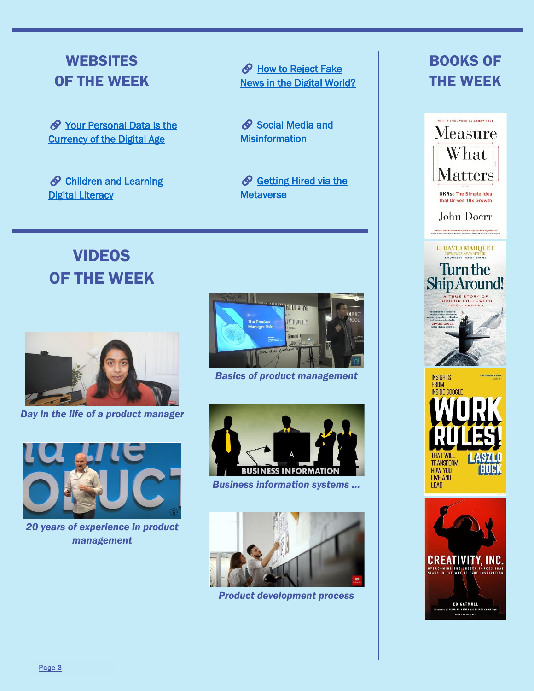### **WEBSITES** OF THE WEEK

 $\oslash$  [Your](https://theconversation.com/your-personal-data-is-the-currency-of-the-digital-age-146386) Personal Data is the Currency of the Digital Age

 $\oslash$  [Children](https://theconversation.com/teaching-children-digital-literacy-skills-helps-them-navigate-and-respond-to-misinformation-145988) and Learning **Digital Literacy** 

**& How to Reject Fake** [News in the Digital World?](https://theconversation.com/how-can-we-learn-to-reject-fake-news-in-the-digital-world-69706)

Social Media and **[Misinformation](https://theconversation.com/misinformation-on-social-media-can-technology-save-us-69264)** 

Getting Hired via the **[Metaverse](https://www.cnbc.com/2021/11/30/looking-for-a-job-you-might-get-hired-via-the-metaverse-experts-say.html)** 

# VIDEOS OF THE WEEK



*Day in the life of a product manager*



*20 years of experience in product management*



*Basics of product management*



*Business information systems …*

![](_page_2_Picture_15.jpeg)

*Product development process*

## BOOKS OF THE WEEK

![](_page_2_Picture_18.jpeg)

ED CATMULL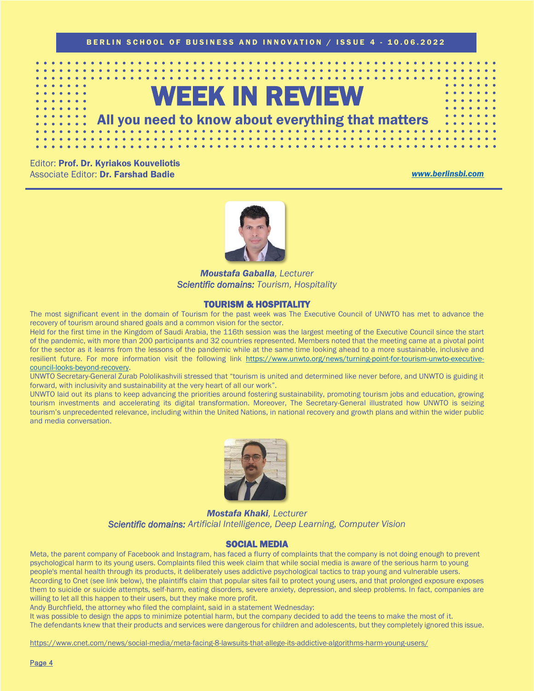![](_page_3_Picture_0.jpeg)

Editor: Prof. Dr. Kyriakos Kouveliotis Associate Editor: Dr. Farshad Badie *[www.berlinsbi.com](http://www.berlinsbi.com/)*

![](_page_3_Picture_3.jpeg)

*Moustafa Gaballa, Lecturer Scientific domains: Tourism, Hospitality* 

### TOURISM & HOSPITALITY

The most significant event in the domain of Tourism for the past week was The Executive Council of UNWTO has met to advance the recovery of tourism around shared goals and a common vision for the sector.

Held for the first time in the Kingdom of Saudi Arabia, the 116th session was the largest meeting of the Executive Council since the start of the pandemic, with more than 200 participants and 32 countries represented. Members noted that the meeting came at a pivotal point for the sector as it learns from the lessons of the pandemic while at the same time looking ahead to a more sustainable, inclusive and resilient future. For more information visit the following link [https://www.unwto.org/news/turning-point-for-tourism-unwto-executive](https://www.unwto.org/news/turning-point-for-tourism-unwto-executive-council-looks-beyond-recovery)[council-looks-beyond-recovery.](https://www.unwto.org/news/turning-point-for-tourism-unwto-executive-council-looks-beyond-recovery)

UNWTO Secretary-General Zurab Pololikashvili stressed that "tourism is united and determined like never before, and UNWTO is guiding it forward, with inclusivity and sustainability at the very heart of all our work".

UNWTO laid out its plans to keep advancing the priorities around fostering sustainability, promoting tourism jobs and education, growing tourism investments and accelerating its digital transformation. Moreover, The Secretary-General illustrated how UNWTO is seizing tourism's unprecedented relevance, including within the United Nations, in national recovery and growth plans and within the wider public and media conversation.

![](_page_3_Picture_10.jpeg)

*Mostafa Khaki, Lecturer Scientific domains: Artificial Intelligence, Deep Learning, Computer Vision* 

### SOCIAL MEDIA

Meta, the parent company of Facebook and Instagram, has faced a flurry of complaints that the company is not doing enough to prevent psychological harm to its young users. Complaints filed this week claim that while social media is aware of the serious harm to young people's mental health through its products, it deliberately uses addictive psychological tactics to trap young and vulnerable users. According to Cnet (see link below), the plaintiffs claim that popular sites fail to protect young users, and that prolonged exposure exposes them to suicide or suicide attempts, self-harm, eating disorders, severe anxiety, depression, and sleep problems. In fact, companies are willing to let all this happen to their users, but they make more profit.

Andy Burchfield, the attorney who filed the complaint, said in a statement Wednesday:

It was possible to design the apps to minimize potential harm, but the company decided to add the teens to make the most of it.

The defendants knew that their products and services were dangerous for children and adolescents, but they completely ignored this issue.

<https://www.cnet.com/news/social-media/meta-facing-8-lawsuits-that-allege-its-addictive-algorithms-harm-young-users/>